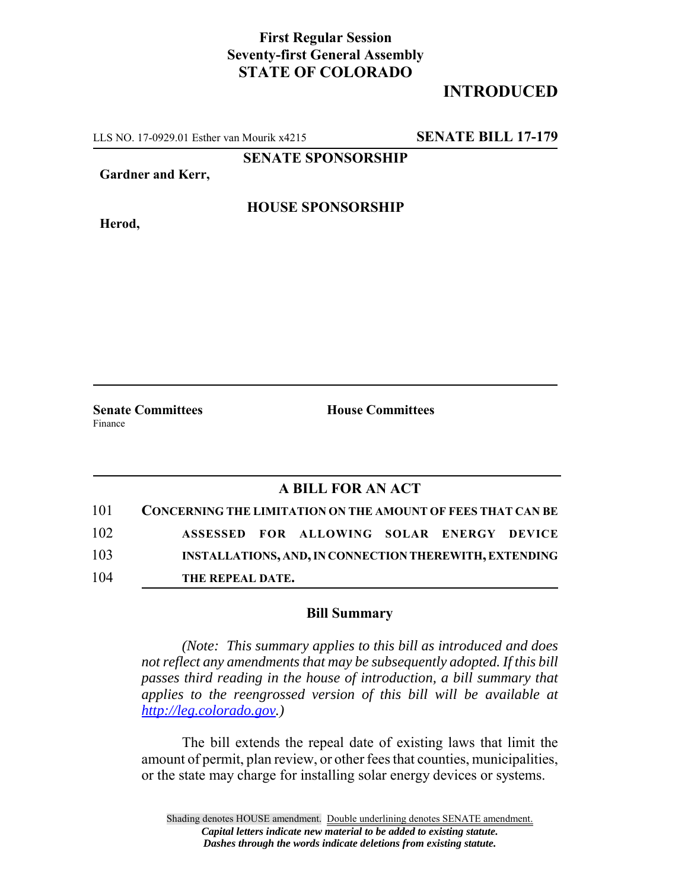## **First Regular Session Seventy-first General Assembly STATE OF COLORADO**

## **INTRODUCED**

LLS NO. 17-0929.01 Esther van Mourik x4215 **SENATE BILL 17-179**

**SENATE SPONSORSHIP**

**Gardner and Kerr,**

**Herod,**

**HOUSE SPONSORSHIP**

**Senate Committees House Committees** Finance

## **A BILL FOR AN ACT**

| 101 | CONCERNING THE LIMITATION ON THE AMOUNT OF FEES THAT CAN BE |  |                                           |  |  |  |
|-----|-------------------------------------------------------------|--|-------------------------------------------|--|--|--|
| 102 |                                                             |  | ASSESSED FOR ALLOWING SOLAR ENERGY DEVICE |  |  |  |
| 103 | INSTALLATIONS, AND, IN CONNECTION THEREWITH, EXTENDING      |  |                                           |  |  |  |
| 104 | THE REPEAL DATE.                                            |  |                                           |  |  |  |

## **Bill Summary**

*(Note: This summary applies to this bill as introduced and does not reflect any amendments that may be subsequently adopted. If this bill passes third reading in the house of introduction, a bill summary that applies to the reengrossed version of this bill will be available at http://leg.colorado.gov.)*

The bill extends the repeal date of existing laws that limit the amount of permit, plan review, or other fees that counties, municipalities, or the state may charge for installing solar energy devices or systems.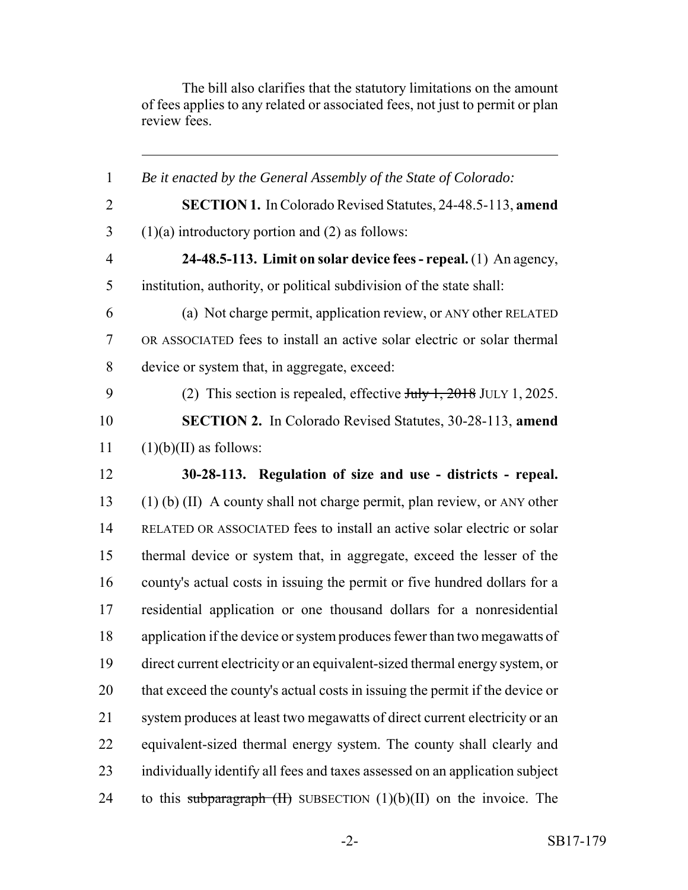The bill also clarifies that the statutory limitations on the amount of fees applies to any related or associated fees, not just to permit or plan review fees.

 *Be it enacted by the General Assembly of the State of Colorado:* **SECTION 1.** In Colorado Revised Statutes, 24-48.5-113, **amend** (1)(a) introductory portion and (2) as follows: **24-48.5-113. Limit on solar device fees - repeal.** (1) An agency, institution, authority, or political subdivision of the state shall: (a) Not charge permit, application review, or ANY other RELATED OR ASSOCIATED fees to install an active solar electric or solar thermal device or system that, in aggregate, exceed: 9 (2) This section is repealed, effective  $J_{\text{t}}/1$ ,  $2018$  JULY 1, 2025. **SECTION 2.** In Colorado Revised Statutes, 30-28-113, **amend** (1)(b)(II) as follows: **30-28-113. Regulation of size and use - districts - repeal.** (1) (b) (II) A county shall not charge permit, plan review, or ANY other RELATED OR ASSOCIATED fees to install an active solar electric or solar thermal device or system that, in aggregate, exceed the lesser of the county's actual costs in issuing the permit or five hundred dollars for a residential application or one thousand dollars for a nonresidential application if the device or system produces fewer than two megawatts of direct current electricity or an equivalent-sized thermal energy system, or that exceed the county's actual costs in issuing the permit if the device or system produces at least two megawatts of direct current electricity or an equivalent-sized thermal energy system. The county shall clearly and individually identify all fees and taxes assessed on an application subject 24 to this subparagraph  $(H)$  SUBSECTION  $(1)(b)(II)$  on the invoice. The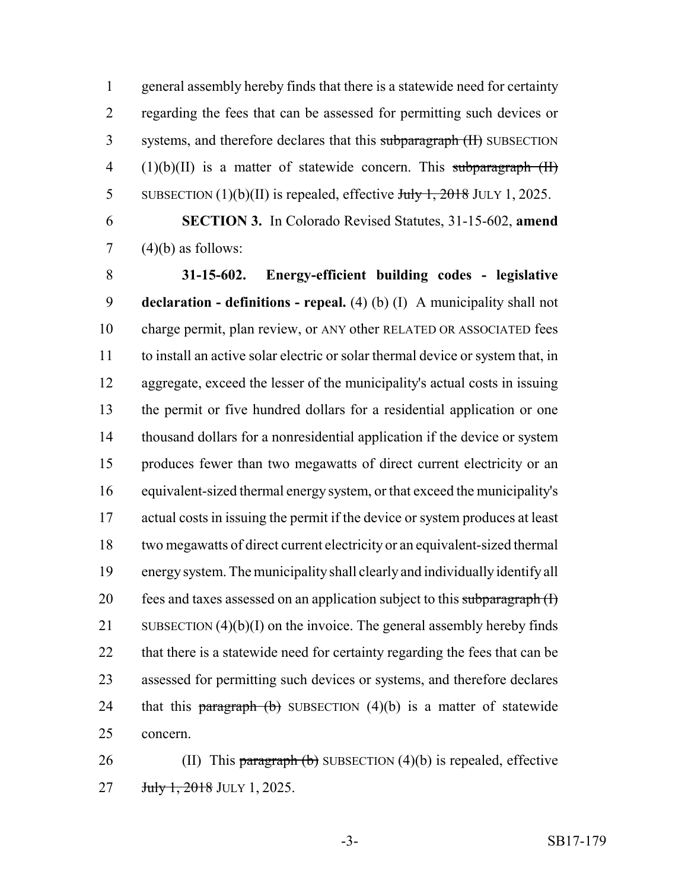general assembly hereby finds that there is a statewide need for certainty regarding the fees that can be assessed for permitting such devices or 3 systems, and therefore declares that this subparagraph (II) SUBSECTION  $(1)(b)(II)$  is a matter of statewide concern. This subparagraph  $(II)$ 5 SUBSECTION  $(1)(b)(II)$  is repealed, effective July 1, 2018 JULY 1, 2025.

 **SECTION 3.** In Colorado Revised Statutes, 31-15-602, **amend** 7  $(4)(b)$  as follows:

 **31-15-602. Energy-efficient building codes - legislative declaration - definitions - repeal.** (4) (b) (I) A municipality shall not charge permit, plan review, or ANY other RELATED OR ASSOCIATED fees to install an active solar electric or solar thermal device or system that, in aggregate, exceed the lesser of the municipality's actual costs in issuing the permit or five hundred dollars for a residential application or one thousand dollars for a nonresidential application if the device or system produces fewer than two megawatts of direct current electricity or an equivalent-sized thermal energy system, or that exceed the municipality's actual costs in issuing the permit if the device or system produces at least two megawatts of direct current electricity or an equivalent-sized thermal energy system. The municipality shall clearly and individually identify all 20 fees and taxes assessed on an application subject to this subparagraph  $(I)$ 21 SUBSECTION  $(4)(b)(I)$  on the invoice. The general assembly hereby finds that there is a statewide need for certainty regarding the fees that can be assessed for permitting such devices or systems, and therefore declares 24 that this **paragraph** (b) SUBSECTION  $(4)(b)$  is a matter of statewide concern.

26 (II) This paragraph  $(b)$  SUBSECTION  $(4)(b)$  is repealed, effective **July 1, 2018** JULY 1, 2025.